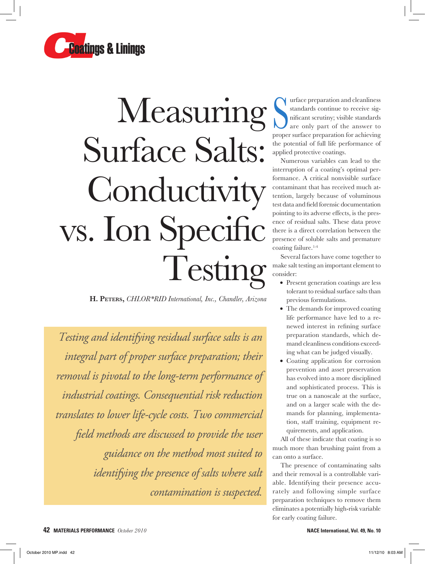

# Measuring Surface Salts: Conductivit vs. Ion Specific Testing

**H. Peters,** *CHLOR\*RID International, Inc., Chandler, Arizona*

*Testing and identifying residual surface salts is an integral part of proper surface preparation; their removal is pivotal to the long-term performance of industrial coatings. Consequential risk reduction translates to lower life-cycle costs. Two commercial field methods are discussed to provide the user guidance on the method most suited to identifying the presence of salts where salt contamination is suspected.*

standards continue to receive significant scrutiny; visible standards<br>are only part of the answer to<br>proper surface preparation for achieving urface preparation and cleanliness standards continue to receive significant scrutiny; visible standards are only part of the answer to the potential of full life performance of applied protective coatings.

Numerous variables can lead to the interruption of a coating's optimal performance. A critical nonvisible surface contaminant that has received much attention, largely because of voluminous test data and field forensic documentation pointing to its adverse effects, is the presence of residual salts. These data prove there is a direct correlation between the presence of soluble salts and premature coating failure.<sup>1-4</sup>

Several factors have come together to make salt testing an important element to consider:

- Present generation coatings are less tolerant to residual surface salts than previous formulations.
- The demands for improved coating life performance have led to a renewed interest in refining surface preparation standards, which demand cleanliness conditions exceeding what can be judged visually.
- Coating application for corrosion prevention and asset preservation has evolved into a more disciplined and sophisticated process. This is true on a nanoscale at the surface, and on a larger scale with the demands for planning, implementation, staff training, equipment requirements, and application.

All of these indicate that coating is so much more than brushing paint from a can onto a surface.

The presence of contaminating salts and their removal is a controllable variable. Identifying their presence accurately and following simple surface preparation techniques to remove them eliminates a potentially high-risk variable for early coating failure.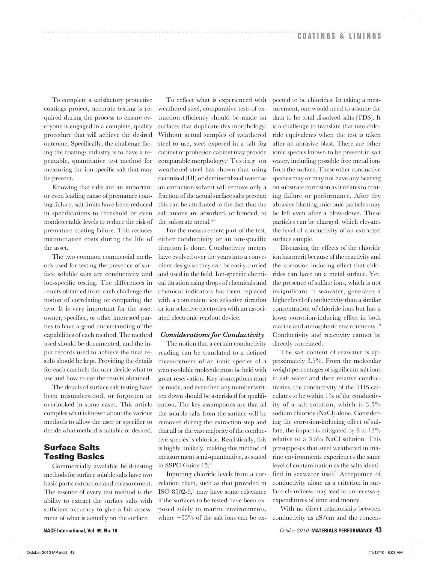To complete a satisfactory protective coatings project, accurate testing is required during the process to ensure everyone is engaged in a complete, quality procedure that will achieve the desired outcome. Specifically, the challenge facing the coatings industry is to have a repeatable, quantitative test method for measuring the ion-specific salt that may be present.

Knowing that salts are an important or even leading cause of premature coating failure, salt limits have been reduced in specifications to threshold or even nondetectable levels to reduce the risk of premature coating failure. This reduces maintenance costs during the life of the asset.

The two common commercial methods used for testing the presence of surface soluble salts are conductivity and ion-specific testing. The differences in results obtained from each challenge the notion of correlating or comparing the two. It is very important for the asset owner, specifier, or other interested parties to have a good understanding of the capabilities of each method. The method used should be documented, and the input records used to achieve the final results should be kept. Providing the details for each can help the user decide what to use and how to use the results obtained.

The details of surface salt testing have been misunderstood, or forgotten or overlooked in some cases. This article compiles what is known about the various methods to allow the user or specifier to decide what method is suitable or desired.

# **Surface Salts Testing Basics**

Commercially available field-testing methods for surface soluble salts have two basic parts: extraction and measurement. The essence of every test method is the ability to extract the surface salts with sufficient accuracy to give a fair assessment of what is actually on the surface.

To reflect what is experienced with weathered steel, comparative tests of extraction efficiency should be made on surfaces that duplicate this morphology. Without actual samples of weathered steel to use, steel exposed in a salt fog cabinet or prohesion cabinet may provide comparable morphology.<sup>5</sup> Testing on weathered steel has shown that using deionized (DI) or demineralized water as an extraction solvent will remove only a fraction of the actual surface salts present; this can be attributed to the fact that the salt anions are adsorbed, or bonded, to the substrate metal.<sup>6-7</sup>

For the measurement part of the test, either conductivity or an ion-specific titration is done. Conductivity meters have evolved over the years into a convenient design so they can be easily carried and used in the field. Ion-specific chemical titration using drops of chemicals and chemical indicators has been replaced with a convenient ion selective titration or ion selective electrodes with an associated electronic readout device.

#### *Considerations for Conductivity*

The notion that a certain conductivity reading can be translated to a defined measurement of an ionic species of a water-soluble molecule must be held with great reservation. Key assumptions must be made, and even then any number written down should be asterisked for qualification. The key assumptions are that all the soluble salts from the surface will be removed during the extraction step and that all or the vast majority of the conductive species is chloride. Realistically, this is highly unlikely, making this method of measurement semi-quantitative, as stated in SSPC-Guide 15.8

Inputting chloride levels from a correlation chart, such as that provided in ISO 8502-9,<sup>9</sup> may have some relevance if the surfaces to be tested have been exposed solely to marine environments, where  $\approx$  55% of the salt ions can be expected to be chlorides. In taking a measurement, one would need to assume the data to be total dissolved salts (TDS). It is a challenge to translate that into chloride equivalents when the test is taken after an abrasive blast. There are other ionic species known to be present in salt water, including possible free metal ions from the surface. These other conductive species may or may not have any bearing on substrate corrosion as it relates to coating failure or performance. After dry abrasive blasting, micronic particles may be left even after a blow-down. These particles can be charged, which elevates the level of conductivity of an extracted surface sample.

Discussing the effects of the chloride ion has merit because of the reactivity and the corrosion-inducing effect that chlorides can have on a metal surface. Yet, the presence of sulfate ions, which is not insignificant in seawater, generates a higher level of conductivity than a similar concentration of chloride ions but has a lower corrosion-inducing effect in both marine and atmospheric environments.10 Conductivity and reactivity cannot be directly correlated.

The salt content of seawater is approximately 3.5%. From the molecular weight percentages of significant salt ions in salt water and their relative conductivities, the conductivity of the TDS calculates to be within 1% of the conductivity of a salt solution, which is 3.5% sodium chloride (NaCl) alone. Considering the corrosion-inducing effect of sulfate, the impact is mitigated by 8 to 13% relative to a 3.5% NaCl solution. This presupposes that steel weathered in marine environments experiences the same level of contamination as the salts identified in seawater itself. Acceptance of conductivity alone as a criterion in surface cleanliness may lead to unnecessary expenditures of time and money.

With no direct relationship between conductivity as  $\mu$ S/cm and the concen-

**NACE International, Vol. 49, No. 10** *October 2010* **MATERIALS PERFORMANCE 43**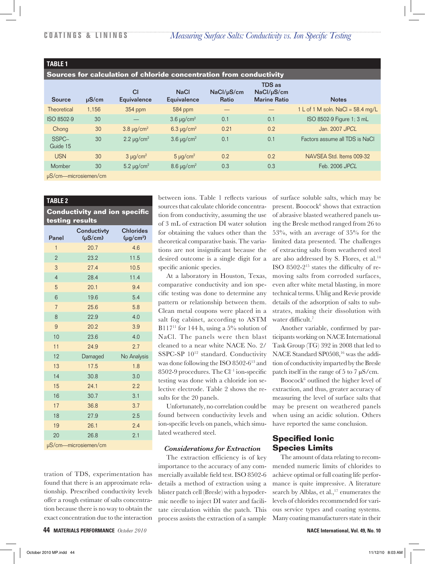| <b>TABLE 1</b>                                                      |            |                                 |                                   |                          |                                             |                                             |  |  |
|---------------------------------------------------------------------|------------|---------------------------------|-----------------------------------|--------------------------|---------------------------------------------|---------------------------------------------|--|--|
| Sources for calculation of chloride concentration from conductivity |            |                                 |                                   |                          |                                             |                                             |  |  |
| <b>Source</b>                                                       | $\mu$ S/cm | <b>CI</b><br><b>Equivalence</b> | <b>NaCl</b><br><b>Equivalence</b> | $NaCl/\mu S/cm$<br>Ratio | TDS as<br>NaCl/uS/cm<br><b>Marine Ratio</b> | <b>Notes</b>                                |  |  |
| <b>Theoretical</b>                                                  | 1,156      | 354 ppm                         | 584 ppm                           |                          |                                             | 1 L of 1 M soln. NaCl = $58.4 \text{ mg/L}$ |  |  |
| ISO 8502-9                                                          | 30         |                                 | $3.6 \mu g/cm^2$                  | 0.1                      | 0.1                                         | ISO 8502-9 Figure 1; 3 mL                   |  |  |
| Chong                                                               | 30         | $3.8 \mu g/cm^2$                | $6.3 \mu g/cm^2$                  | 0.21                     | 0.2                                         | Jan. 2007 JPCL                              |  |  |
| SSPC-<br>Guide 15                                                   | 30         | $2.2 \mu q/cm^2$                | $3.6 \mu g/cm^2$                  | 0.1                      | 0.1                                         | Factors assume all TDS is NaCl              |  |  |
| <b>USN</b>                                                          | 30         | $3 \mu g/cm^2$                  | $5 \mu g/cm^2$                    | 0.2                      | 0.2                                         | NAVSEA Std. Items 009-32                    |  |  |
| Momber                                                              | 30         | $5.2 \mu g/cm^2$                | $8.6 \mu g/cm^2$                  | 0.3                      | 0.3                                         | Feb. 2006 JPCL                              |  |  |
|                                                                     |            |                                 |                                   |                          |                                             |                                             |  |  |

µS/cm—microsiemen/cm

#### **Table 2**

**Conductivity and ion specific testing results**

| Panel          | Conductivty<br>$(\mu S/cm)$ | <b>Chlorides</b><br>$(\mu g/cm^2)$ |
|----------------|-----------------------------|------------------------------------|
| 1              | 20.7                        | 4.6                                |
| $\overline{2}$ | 23.2                        | 11.5                               |
| 3              | 27.4                        | 10.5                               |
| $\overline{4}$ | 28.4                        | 11.4                               |
| 5              | 20.1                        | 9.4                                |
| 6              | 19.6                        | 5.4                                |
| $\overline{7}$ | 25.6                        | 5.8                                |
| 8              | 22.9                        | 4.0                                |
| 9              | 20.2                        | 3.9                                |
| 10             | 23.6                        | 4.0                                |
| 11             | 24.9                        | 2.7                                |
| 12             | Damaged                     | No Analysis                        |
| 13             | 17.5                        | 1.8                                |
| 14             | 30.8                        | 3.0                                |
| 15             | 24.1                        | 2.2                                |
| 16             | 30.7                        | 3.1                                |
| 17             | 36.8                        | 3.7                                |
| 18             | 27.9                        | 2.5                                |
| 19             | 26.1                        | 2.4                                |
| 20             | 26.8                        | 2.1                                |
|                |                             |                                    |

µS/cm—microsiemen/cm

tration of TDS, experimentation has found that there is an approximate relationship. Prescribed conductivity levels offer a rough estimate of salts concentration because there is no way to obtain the exact concentration due to the interaction

**44 MATERIALS PERFORMANCE** *October 2010* **NACE International, Vol. 49, No. 10**

between ions. Table 1 reflects various sources that calculate chloride concentration from conductivity, assuming the use of 3 mL of extraction DI water solution for obtaining the values other than the theoretical comparative basis. The variations are not insignificant because the desired outcome is a single digit for a specific anionic species.

At a laboratory in Houston, Texas, comparative conductivity and ion specific testing was done to determine any pattern or relationship between them. Clean metal coupons were placed in a salt fog cabinet, according to ASTM B11711 for 144 h, using a 5% solution of NaCl. The panels were then blast cleaned to a near white NACE No. 2/ SSPC-SP 10<sup>12</sup> standard. Conductivity was done following the ISO 8502-6<sup>13</sup> and 8502-9 procedures. The Cl–1 ion-specific testing was done with a chloride ion selective electrode. Table 2 shows the results for the 20 panels.

Unfortunately, no correlation could be found between conductivity levels and ion-specific levels on panels, which simulated weathered steel.

#### *Considerations for Extraction*

The extraction efficiency is of key importance to the accuracy of any commercially available field test. ISO 8502-6 details a method of extraction using a blister patch cell (Bresle) with a hypodermic needle to inject DI water and facilitate circulation within the patch. This process assists the extraction of a sample of surface soluble salts, which may be present. Boocock<sup>6</sup> shows that extraction of abrasive blasted weathered panels using the Bresle method ranged from 26 to 53%, with an average of 35% for the limited data presented. The challenges of extracting salts from weathered steel are also addressed by S. Flores, et al.<sup>14</sup> ISO 8502-215 states the difficulty of removing salts from corroded surfaces, even after white metal blasting, in more technical terms. Uhlig and Revie provide details of the adsorption of salts to substrates, making their dissolution with water difficult.<sup>7</sup>

Another variable, confirmed by participants working on NACE International Task Group (TG) 392 in 2008 that led to NACE Standard SP0508,<sup>16</sup> was the addition of conductivity imparted by the Bresle patch itself in the range of 5 to 7  $\mu$ S/cm.

Boocock<sup>6</sup> outlined the higher level of extraction, and thus, greater accuracy of measuring the level of surface salts that may be present on weathered panels when using an acidic solution. Others have reported the same conclusion.

# **Specified Ionic Species Limits**

The amount of data relating to recommended numeric limits of chlorides to achieve optimal or full coating life performance is quite impressive. A literature search by Alblas, et al., $^{17}$  enumerates the levels of chlorides recommended for various service types and coating systems. Many coating manufacturers state in their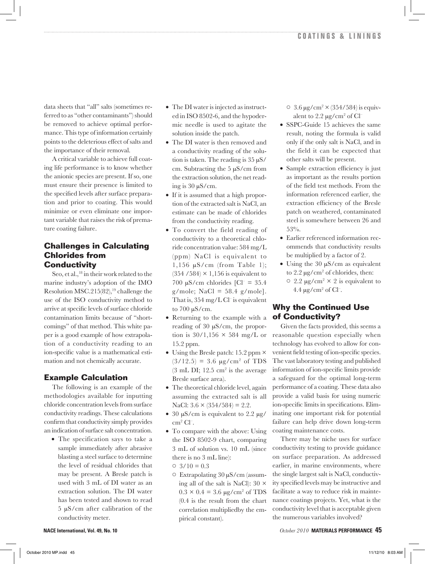data sheets that "all" salts (sometimes referred to as "other contaminants") should be removed to achieve optimal performance. This type of information certainly points to the deleterious effect of salts and the importance of their removal.

A critical variable to achieve full coating life performance is to know whether the anionic species are present. If so, one must ensure their presence is limited to the specified levels after surface preparation and prior to coating. This would minimize or even eliminate one important variable that raises the risk of premature coating failure.

#### **Challenges in Calculating Chlorides from Conductivity**

Seo, et al.,<sup>18</sup> in their work related to the marine industry's adoption of the IMO Resolution MSC.215 $(82)$ ,<sup>19</sup> challenge the use of the ISO conductivity method to arrive at specific levels of surface chloride contamination limits because of "shortcomings" of that method. This white paper is a good example of how extrapolation of a conductivity reading to an ion-specific value is a mathematical estimation and not chemically accurate.

# **Example Calculation**

The following is an example of the methodologies available for inputting chloride concentration levels from surface conductivity readings. These calculations confirm that conductivity simply provides an indication of surface salt concentration.

• The specification says to take a sample immediately after abrasive blasting a steel surface to determine the level of residual chlorides that may be present. A Bresle patch is used with 3 mL of DI water as an extraction solution. The DI water has been tested and shown to read 5 µS/cm after calibration of the conductivity meter.

• The DI water is injected as instructed in ISO 8502-6, and the hypodermic needle is used to agitate the solution inside the patch.

- The DI water is then removed and a conductivity reading of the solution is taken. The reading is 35 µS/ cm. Subtracting the 5 µS/cm from the extraction solution, the net reading is 30 µS/cm.
- If it is assumed that a high proportion of the extracted salt is NaCl, an estimate can be made of chlorides from the conductivity reading.
- To convert the field reading of conductivity to a theoretical chloride concentration value: 584 mg/L (ppm) NaCl is equivalent to 1,156 µS/cm (from Table 1);  $(354 / 584) \times 1,156$  is equivalent to 700  $\mu$ S/cm chlorides [Cl<sup>-</sup> = 35.4  $g/mole$ ; NaCl = 58.4  $g/mole$ ]. That is, 354 mg/L Cl– is equivalent to 700 µS/cm.
- Returning to the example with a reading of 30 µS/cm, the proportion is  $30/1,156 \times 584$  mg/L or 15.2 ppm.
- Using the Bresle patch: 15.2 ppm  $\times$  $(3/12.5) = 3.6 \text{ µg/cm}^2 \text{ of TDS}$  $(3 \text{ mL DI}; 12.5 \text{ cm}^2 \text{ is the average})$ Bresle surface area).
- The theoretical chloride level, again assuming the extracted salt is all NaCl:  $3.6 \times (354/584) = 2.2$ .
- 30  $\mu$ S/cm is equivalent to 2.2  $\mu$ g/  $\text{cm}^2 \text{ Cl}^-$ .
- To compare with the above: Using the ISO 8502-9 chart, comparing 3 mL of solution vs. 10 mL (since there is no 3 mL line):  $0.3/10 = 0.3$ 
	- $\circ$  Extrapolating 30  $\mu$ S/cm (assuming all of the salt is NaCl):  $30 \times$  $0.3 \times 0.4 = 3.6 \,\mathrm{\mu g/cm^2 \text{ of TDS}}$ (0.4 is the result from the chart correlation multipliedby the empirical constant).

 $\circ$  3.6 µg/cm<sup>2</sup>  $\times$  (354/584) is equivalent to  $2.2 \mu g/cm^2$  of Cl<sup>-</sup>

- SSPC-Guide 15 achieves the same result, noting the formula is valid only if the only salt is NaCl, and in the field it can be expected that other salts will be present.
- Sample extraction efficiency is just as important as the results portion of the field test methods. From the information referenced earlier, the extraction efficiency of the Bresle patch on weathered, contaminated steel is somewhere between 26 and 53%.
- Earlier referenced information recommends that conductivity results be multiplied by a factor of 2.
- Using the 30  $\mu$ S/cm as equivalent to  $2.2 \mu g/cm^2$  of chlorides, then:  $\circ$  2.2  $\mu$ g/cm<sup>2</sup>  $\times$  2 is equivalent to  $4.4 \,\mathrm{\mu g/cm^2}$  of Cl<sup>-</sup>.

#### **Why the Continued Use of Conductivity?**

Given the facts provided, this seems a reasonable question especially when technology has evolved to allow for convenient field testing of ion-specific species. The vast laboratory testing and published information of ion-specific limits provide a safeguard for the optimal long-term performance of a coating. These data also provide a valid basis for using numeric ion-specific limits in specifications. Eliminating one important risk for potential failure can help drive down long-term coating maintenance costs.

There may be niche uses for surface conductivity testing to provide guidance on surface preparation. As addressed earlier, in marine environments, where the single largest salt is NaCl, conductivity specified levels may be instructive and facilitate a way to reduce risk in maintenance coatings projects. Yet, what is the conductivity level that is acceptable given the numerous variables involved?

**NACE International, Vol. 49, No. 10** *October 2010* **MATERIALS PERFORMANCE 45**